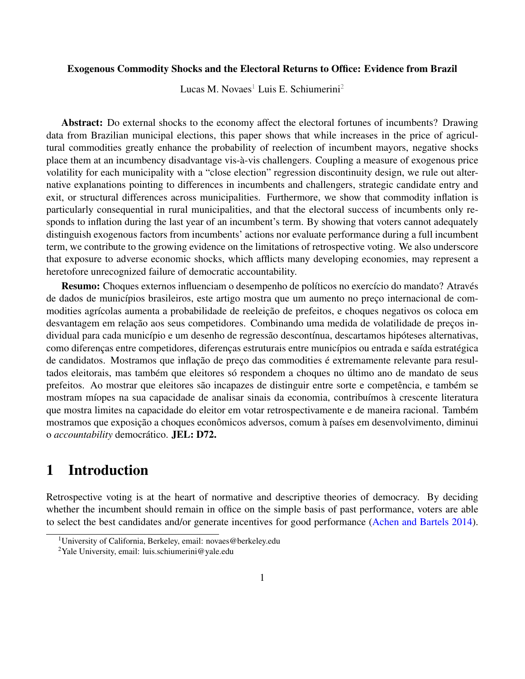#### Exogenous Commodity Shocks and the Electoral Returns to Office: Evidence from Brazil

Lucas M. Novaes<sup>[1](#page-0-0)</sup> Luis E. Schiumerini<sup>[2](#page-0-1)</sup>

Abstract: Do external shocks to the economy affect the electoral fortunes of incumbents? Drawing data from Brazilian municipal elections, this paper shows that while increases in the price of agricultural commodities greatly enhance the probability of reelection of incumbent mayors, negative shocks place them at an incumbency disadvantage vis-à-vis challengers. Coupling a measure of exogenous price volatility for each municipality with a "close election" regression discontinuity design, we rule out alternative explanations pointing to differences in incumbents and challengers, strategic candidate entry and exit, or structural differences across municipalities. Furthermore, we show that commodity inflation is particularly consequential in rural municipalities, and that the electoral success of incumbents only responds to inflation during the last year of an incumbent's term. By showing that voters cannot adequately distinguish exogenous factors from incumbents' actions nor evaluate performance during a full incumbent term, we contribute to the growing evidence on the limitations of retrospective voting. We also underscore that exposure to adverse economic shocks, which afflicts many developing economies, may represent a heretofore unrecognized failure of democratic accountability.

Resumo: Choques externos influenciam o desempenho de políticos no exercício do mandato? Através de dados de municípios brasileiros, este artigo mostra que um aumento no preço internacional de commodities agrícolas aumenta a probabilidade de reeleição de prefeitos, e choques negativos os coloca em desvantagem em relação aos seus competidores. Combinando uma medida de volatilidade de preços individual para cada município e um desenho de regressão descontínua, descartamos hipóteses alternativas, como diferenças entre competidores, diferenças estruturais entre municípios ou entrada e saída estratégica de candidatos. Mostramos que inflação de preço das commodities é extremamente relevante para resultados eleitorais, mas também que eleitores só respondem a choques no último ano de mandato de seus prefeitos. Ao mostrar que eleitores são incapazes de distinguir entre sorte e competência, e também se mostram míopes na sua capacidade de analisar sinais da economia, contribuímos à crescente literatura que mostra limites na capacidade do eleitor em votar retrospectivamente e de maneira racional. Também mostramos que exposição a choques econômicos adversos, comum à países em desenvolvimento, diminui o *accountability* democrático. JEL: D72.

## 1 Introduction

Retrospective voting is at the heart of normative and descriptive theories of democracy. By deciding whether the incumbent should remain in office on the simple basis of past performance, voters are able to select the best candidates and/or generate incentives for good performance [\(Achen and Bartels](#page-17-0) [2014\)](#page-17-0).

<span id="page-0-0"></span><sup>1</sup>University of California, Berkeley, email: novaes@berkeley.edu

<span id="page-0-1"></span><sup>2</sup>Yale University, email: luis.schiumerini@yale.edu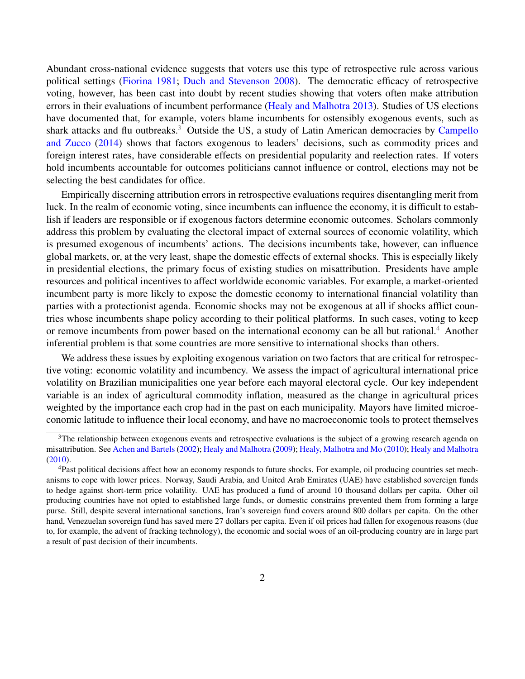Abundant cross-national evidence suggests that voters use this type of retrospective rule across various political settings [\(Fiorina](#page-18-0) [1981;](#page-18-0) [Duch and Stevenson](#page-18-1) [2008\)](#page-18-1). The democratic efficacy of retrospective voting, however, has been cast into doubt by recent studies showing that voters often make attribution errors in their evaluations of incumbent performance [\(Healy and Malhotra](#page-18-2) [2013\)](#page-18-2). Studies of US elections have documented that, for example, voters blame incumbents for ostensibly exogenous events, such as shark attacks and flu outbreaks.<sup>[3](#page-1-0)</sup> Outside the US, a study of Latin American democracies by [Campello](#page-17-1) [and Zucco](#page-17-1) [\(2014\)](#page-17-1) shows that factors exogenous to leaders' decisions, such as commodity prices and foreign interest rates, have considerable effects on presidential popularity and reelection rates. If voters hold incumbents accountable for outcomes politicians cannot influence or control, elections may not be selecting the best candidates for office.

Empirically discerning attribution errors in retrospective evaluations requires disentangling merit from luck. In the realm of economic voting, since incumbents can influence the economy, it is difficult to establish if leaders are responsible or if exogenous factors determine economic outcomes. Scholars commonly address this problem by evaluating the electoral impact of external sources of economic volatility, which is presumed exogenous of incumbents' actions. The decisions incumbents take, however, can influence global markets, or, at the very least, shape the domestic effects of external shocks. This is especially likely in presidential elections, the primary focus of existing studies on misattribution. Presidents have ample resources and political incentives to affect worldwide economic variables. For example, a market-oriented incumbent party is more likely to expose the domestic economy to international financial volatility than parties with a protectionist agenda. Economic shocks may not be exogenous at all if shocks afflict countries whose incumbents shape policy according to their political platforms. In such cases, voting to keep or remove incumbents from power based on the international economy can be all but rational.<sup>[4](#page-1-1)</sup> Another inferential problem is that some countries are more sensitive to international shocks than others.

We address these issues by exploiting exogenous variation on two factors that are critical for retrospective voting: economic volatility and incumbency. We assess the impact of agricultural international price volatility on Brazilian municipalities one year before each mayoral electoral cycle. Our key independent variable is an index of agricultural commodity inflation, measured as the change in agricultural prices weighted by the importance each crop had in the past on each municipality. Mayors have limited microeconomic latitude to influence their local economy, and have no macroeconomic tools to protect themselves

<span id="page-1-0"></span> $3$ The relationship between exogenous events and retrospective evaluations is the subject of a growing research agenda on misattribution. See [Achen and Bartels](#page-17-2) [\(2002\)](#page-17-2); [Healy and Malhotra](#page-18-3) [\(2009\)](#page-18-3); [Healy, Malhotra and Mo](#page-18-4) [\(2010\)](#page-18-4); [Healy and Malhotra](#page-18-5) [\(2010\)](#page-18-5).

<span id="page-1-1"></span><sup>4</sup>Past political decisions affect how an economy responds to future shocks. For example, oil producing countries set mechanisms to cope with lower prices. Norway, Saudi Arabia, and United Arab Emirates (UAE) have established sovereign funds to hedge against short-term price volatility. UAE has produced a fund of around 10 thousand dollars per capita. Other oil producing countries have not opted to established large funds, or domestic constrains prevented them from forming a large purse. Still, despite several international sanctions, Iran's sovereign fund covers around 800 dollars per capita. On the other hand, Venezuelan sovereign fund has saved mere 27 dollars per capita. Even if oil prices had fallen for exogenous reasons (due to, for example, the advent of fracking technology), the economic and social woes of an oil-producing country are in large part a result of past decision of their incumbents.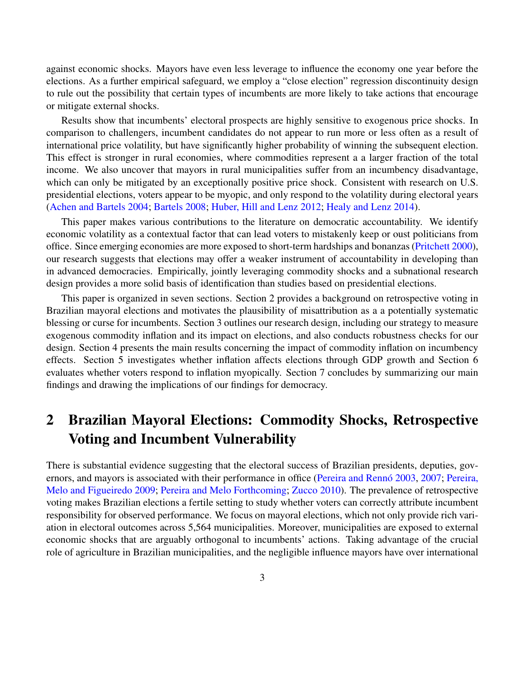against economic shocks. Mayors have even less leverage to influence the economy one year before the elections. As a further empirical safeguard, we employ a "close election" regression discontinuity design to rule out the possibility that certain types of incumbents are more likely to take actions that encourage or mitigate external shocks.

Results show that incumbents' electoral prospects are highly sensitive to exogenous price shocks. In comparison to challengers, incumbent candidates do not appear to run more or less often as a result of international price volatility, but have significantly higher probability of winning the subsequent election. This effect is stronger in rural economies, where commodities represent a a larger fraction of the total income. We also uncover that mayors in rural municipalities suffer from an incumbency disadvantage, which can only be mitigated by an exceptionally positive price shock. Consistent with research on U.S. presidential elections, voters appear to be myopic, and only respond to the volatility during electoral years [\(Achen and Bartels](#page-17-3) [2004;](#page-17-3) [Bartels](#page-17-4) [2008;](#page-17-4) [Huber, Hill and Lenz](#page-18-6) [2012;](#page-18-6) [Healy and Lenz](#page-18-7) [2014\)](#page-18-7).

This paper makes various contributions to the literature on democratic accountability. We identify economic volatility as a contextual factor that can lead voters to mistakenly keep or oust politicians from office. Since emerging economies are more exposed to short-term hardships and bonanzas [\(Pritchett](#page-19-0) [2000\)](#page-19-0), our research suggests that elections may offer a weaker instrument of accountability in developing than in advanced democracies. Empirically, jointly leveraging commodity shocks and a subnational research design provides a more solid basis of identification than studies based on presidential elections.

This paper is organized in seven sections. Section 2 provides a background on retrospective voting in Brazilian mayoral elections and motivates the plausibility of misattribution as a a potentially systematic blessing or curse for incumbents. Section 3 outlines our research design, including our strategy to measure exogenous commodity inflation and its impact on elections, and also conducts robustness checks for our design. Section 4 presents the main results concerning the impact of commodity inflation on incumbency effects. Section 5 investigates whether inflation affects elections through GDP growth and Section 6 evaluates whether voters respond to inflation myopically. Section 7 concludes by summarizing our main findings and drawing the implications of our findings for democracy.

# 2 Brazilian Mayoral Elections: Commodity Shocks, Retrospective Voting and Incumbent Vulnerability

There is substantial evidence suggesting that the electoral success of Brazilian presidents, deputies, governors, and mayors is associated with their performance in office [\(Pereira and Rennó](#page-19-1) [2003,](#page-19-1) [2007;](#page-19-2) [Pereira,](#page-19-3) [Melo and Figueiredo](#page-19-3) [2009;](#page-19-3) [Pereira and Melo](#page-19-4) [Forthcoming;](#page-19-4) [Zucco](#page-19-5) [2010\)](#page-19-5). The prevalence of retrospective voting makes Brazilian elections a fertile setting to study whether voters can correctly attribute incumbent responsibility for observed performance. We focus on mayoral elections, which not only provide rich variation in electoral outcomes across 5,564 municipalities. Moreover, municipalities are exposed to external economic shocks that are arguably orthogonal to incumbents' actions. Taking advantage of the crucial role of agriculture in Brazilian municipalities, and the negligible influence mayors have over international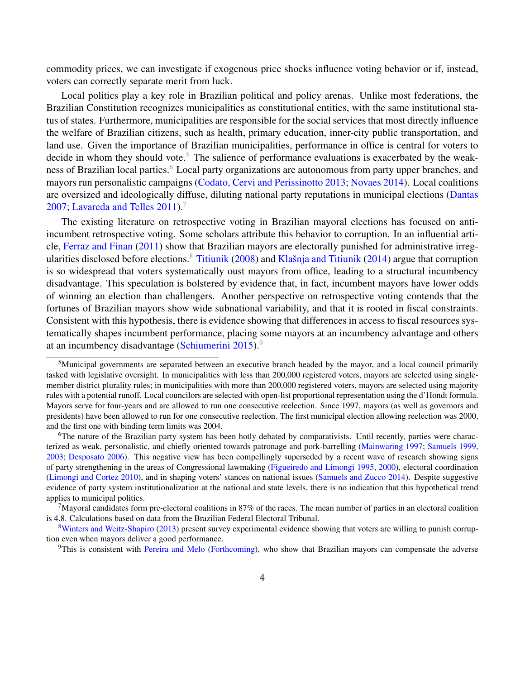commodity prices, we can investigate if exogenous price shocks influence voting behavior or if, instead, voters can correctly separate merit from luck.

Local politics play a key role in Brazilian political and policy arenas. Unlike most federations, the Brazilian Constitution recognizes municipalities as constitutional entities, with the same institutional status of states. Furthermore, municipalities are responsible for the social services that most directly influence the welfare of Brazilian citizens, such as health, primary education, inner-city public transportation, and land use. Given the importance of Brazilian municipalities, performance in office is central for voters to decide in whom they should vote.<sup>[5](#page-3-0)</sup> The salience of performance evaluations is exacerbated by the weak-ness of Brazilian local parties.<sup>[6](#page-3-1)</sup> Local party organizations are autonomous from party upper branches, and mayors run personalistic campaigns [\(Codato, Cervi and Perissinotto](#page-17-5) [2013;](#page-17-5) [Novaes](#page-19-6) [2014\)](#page-19-6). Local coalitions are oversized and ideologically diffuse, diluting national party reputations in municipal elections [\(Dantas](#page-18-8) [2007;](#page-18-8) [Lavareda and Telles](#page-19-7) [2011\)](#page-19-7).<sup>[7](#page-3-2)</sup>

The existing literature on retrospective voting in Brazilian mayoral elections has focused on antiincumbent retrospective voting. Some scholars attribute this behavior to corruption. In an influential article, [Ferraz and Finan](#page-18-9) [\(2011\)](#page-18-9) show that Brazilian mayors are electorally punished for administrative irreg-ularities disclosed before elections.<sup>[8](#page-3-3)</sup> [Titiunik](#page-19-8) [\(2008\)](#page-19-8) and [Klašnja and Titiunik](#page-18-10) [\(2014\)](#page-18-10) argue that corruption is so widespread that voters systematically oust mayors from office, leading to a structural incumbency disadvantage. This speculation is bolstered by evidence that, in fact, incumbent mayors have lower odds of winning an election than challengers. Another perspective on retrospective voting contends that the fortunes of Brazilian mayors show wide subnational variability, and that it is rooted in fiscal constraints. Consistent with this hypothesis, there is evidence showing that differences in access to fiscal resources systematically shapes incumbent performance, placing some mayors at an incumbency advantage and others at an incumbency disadvantage [\(Schiumerini](#page-19-9) [2015\)](#page-19-9).[9](#page-3-4)

<span id="page-3-0"></span> $<sup>5</sup>$ Municipal governments are separated between an executive branch headed by the mayor, and a local council primarily</sup> tasked with legislative oversight. In municipalities with less than 200,000 registered voters, mayors are selected using singlemember district plurality rules; in municipalities with more than 200,000 registered voters, mayors are selected using majority rules with a potential runoff. Local councilors are selected with open-list proportional representation using the d'Hondt formula. Mayors serve for four-years and are allowed to run one consecutive reelection. Since 1997, mayors (as well as governors and presidents) have been allowed to run for one consecutive reelection. The first municipal election allowing reelection was 2000, and the first one with binding term limits was 2004.

<span id="page-3-1"></span> $6$ The nature of the Brazilian party system has been hotly debated by comparativists. Until recently, parties were characterized as weak, personalistic, and chiefly oriented towards patronage and pork-barrelling [\(Mainwaring](#page-19-10) [1997;](#page-19-10) [Samuels](#page-19-11) [1999,](#page-19-11) [2003;](#page-19-12) [Desposato](#page-18-11) [2006\)](#page-18-11). This negative view has been compellingly superseded by a recent wave of research showing signs of party strengthening in the areas of Congressional lawmaking [\(Figueiredo and Limongi](#page-18-12) [1995,](#page-18-12) [2000\)](#page-18-13), electoral coordination [\(Limongi and Cortez](#page-19-13) [2010\)](#page-19-13), and in shaping voters' stances on national issues [\(Samuels and Zucco](#page-19-14) [2014\)](#page-19-14). Despite suggestive evidence of party system institutionalization at the national and state levels, there is no indication that this hypothetical trend applies to municipal politics.

<span id="page-3-2"></span> $7$ Mayoral candidates form pre-electoral coalitions in 87% of the races. The mean number of parties in an electoral coalition is 4.8. Calculations based on data from the Brazilian Federal Electoral Tribunal.

<span id="page-3-3"></span><sup>&</sup>lt;sup>8</sup>[Winters and Weitz-Shapiro](#page-19-15) [\(2013\)](#page-19-15) present survey experimental evidence showing that voters are willing to punish corruption even when mayors deliver a good performance.

<span id="page-3-4"></span><sup>&</sup>lt;sup>9</sup>This is consistent with [Pereira and Melo](#page-19-4) [\(Forthcoming\)](#page-19-4), who show that Brazilian mayors can compensate the adverse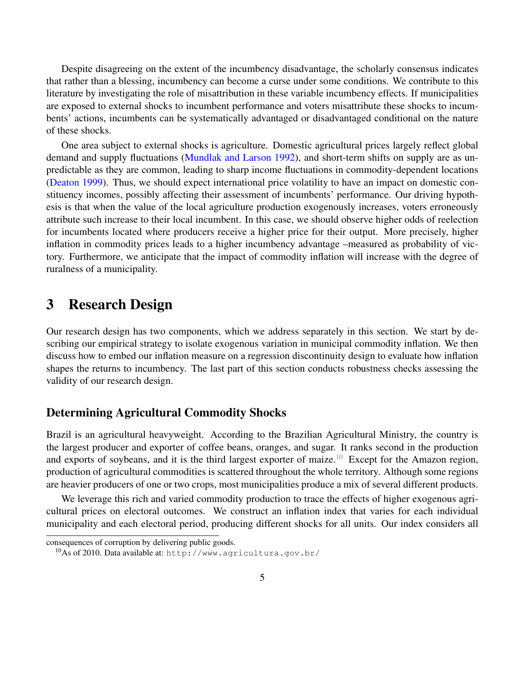Despite disagreeing on the extent of the incumbency disadvantage, the scholarly consensus indicates that rather than a blessing, incumbency can become a curse under some conditions. We contribute to this literature by investigating the role of misattribution in these variable incumbency effects. If municipalities are exposed to external shocks to incumbent performance and voters misattribute these shocks to incumbents' actions, incumbents can be systematically advantaged or disadvantaged conditional on the nature of these shocks.

One area subject to external shocks is agriculture. Domestic agricultural prices largely reflect global demand and supply fluctuations [\(Mundlak and Larson](#page-19-16) [1992\)](#page-19-16), and short-term shifts on supply are as unpredictable as they are common, leading to sharp income fluctuations in commodity-dependent locations [\(Deaton](#page-18-14) [1999\)](#page-18-14). Thus, we should expect international price volatility to have an impact on domestic constituency incomes, possibly affecting their assessment of incumbents' performance. Our driving hypothesis is that when the value of the local agriculture production exogenously increases, voters erroneously attribute such increase to their local incumbent. In this case, we should observe higher odds of reelection for incumbents located where producers receive a higher price for their output. More precisely, higher inflation in commodity prices leads to a higher incumbency advantage –measured as probability of victory. Furthermore, we anticipate that the impact of commodity inflation will increase with the degree of ruralness of a municipality.

### 3 Research Design

Our research design has two components, which we address separately in this section. We start by describing our empirical strategy to isolate exogenous variation in municipal commodity inflation. We then discuss how to embed our inflation measure on a regression discontinuity design to evaluate how inflation shapes the returns to incumbency. The last part of this section conducts robustness checks assessing the validity of our research design.

### Determining Agricultural Commodity Shocks

Brazil is an agricultural heavyweight. According to the Brazilian Agricultural Ministry, the country is the largest producer and exporter of coffee beans, oranges, and sugar. It ranks second in the production and exports of soybeans, and it is the third largest exporter of maize.<sup>[10](#page-4-0)</sup> Except for the Amazon region, production of agricultural commodities is scattered throughout the whole territory. Although some regions are heavier producers of one or two crops, most municipalities produce a mix of several different products.

We leverage this rich and varied commodity production to trace the effects of higher exogenous agricultural prices on electoral outcomes. We construct an inflation index that varies for each individual municipality and each electoral period, producing different shocks for all units. Our index considers all

consequences of corruption by delivering public goods.

<span id="page-4-0"></span> $10$ As of 2010. Data available at: http://www.agricultura.gov.br/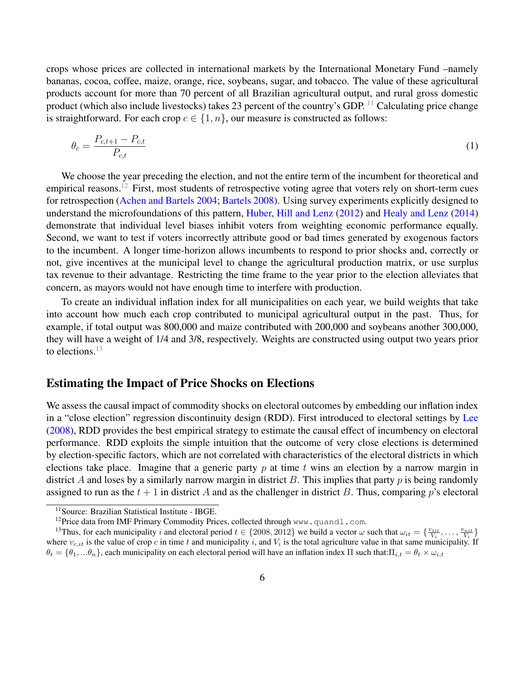crops whose prices are collected in international markets by the International Monetary Fund –namely bananas, cocoa, coffee, maize, orange, rice, soybeans, sugar, and tobacco. The value of these agricultural products account for more than 70 percent of all Brazilian agricultural output, and rural gross domestic product (which also include livestocks) takes 23 percent of the country's GDP. [11](#page-5-0) Calculating price change is straightforward. For each crop  $c \in \{1, n\}$ , our measure is constructed as follows:

$$
\theta_c = \frac{P_{c,t+1} - P_{c,t}}{P_{c,t}}\tag{1}
$$

We choose the year preceding the election, and not the entire term of the incumbent for theoretical and empirical reasons.<sup>[12](#page-5-1)</sup> First, most students of retrospective voting agree that voters rely on short-term cues for retrospection [\(Achen and Bartels](#page-17-3) [2004;](#page-17-3) [Bartels](#page-17-4) [2008\)](#page-17-4). Using survey experiments explicitly designed to understand the microfoundations of this pattern, [Huber, Hill and Lenz](#page-18-6) [\(2012\)](#page-18-6) and [Healy and Lenz](#page-18-7) [\(2014\)](#page-18-7) demonstrate that individual level biases inhibit voters from weighting economic performance equally. Second, we want to test if voters incorrectly attribute good or bad times generated by exogenous factors to the incumbent. A longer time-horizon allows incumbents to respond to prior shocks and, correctly or not, give incentives at the municipal level to change the agricultural production matrix, or use surplus tax revenue to their advantage. Restricting the time frame to the year prior to the election alleviates that concern, as mayors would not have enough time to interfere with production.

To create an individual inflation index for all municipalities on each year, we build weights that take into account how much each crop contributed to municipal agricultural output in the past. Thus, for example, if total output was 800,000 and maize contributed with 200,000 and soybeans another 300,000, they will have a weight of 1/4 and 3/8, respectively. Weights are constructed using output two years prior to elections.<sup>[13](#page-5-2)</sup>

#### Estimating the Impact of Price Shocks on Elections

We assess the causal impact of commodity shocks on electoral outcomes by embedding our inflation index in a "close election" regression discontinuity design (RDD). First introduced to electoral settings by [Lee](#page-19-17) [\(2008\)](#page-19-17), RDD provides the best empirical strategy to estimate the causal effect of incumbency on electoral performance. RDD exploits the simple intuition that the outcome of very close elections is determined by election-specific factors, which are not correlated with characteristics of the electoral districts in which elections take place. Imagine that a generic party  $p$  at time  $t$  wins an election by a narrow margin in district A and loses by a similarly narrow margin in district B. This implies that party  $p$  is being randomly assigned to run as the  $t + 1$  in district A and as the challenger in district B. Thus, comparing p's electoral

<span id="page-5-0"></span><sup>&</sup>lt;sup>11</sup> Source: Brazilian Statistical Institute - IBGE.

<span id="page-5-2"></span><span id="page-5-1"></span><sup>&</sup>lt;sup>12</sup>Price data from IMF Primary Commodity Prices, collected through www.quandl.com.

<sup>&</sup>lt;sup>13</sup>Thus, for each municipality i and electoral period  $t \in \{2008, 2012\}$  we build a vector  $\omega$  such that  $\omega_{it} = \{\frac{v_{1it}}{V_i}, \dots, \frac{v_{nit}}{V_i}\}$ where  $v_{c, it}$  is the value of crop c in time t and municipality i, and  $V_i$  is the total agriculture value in that same municipality. If  $\theta_t = \{\theta_1, ...\theta_n\}$ , each municipality on each electoral period will have an inflation index  $\Pi$  such that: $\Pi_{i,t} = \theta_t \times \omega_{i,t}$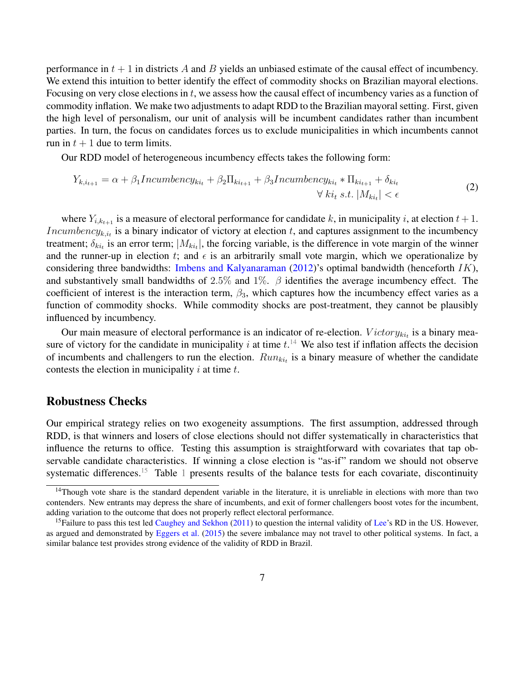performance in  $t + 1$  in districts A and B yields an unbiased estimate of the causal effect of incumbency. We extend this intuition to better identify the effect of commodity shocks on Brazilian mayoral elections. Focusing on very close elections in  $t$ , we assess how the causal effect of incumbency varies as a function of commodity inflation. We make two adjustments to adapt RDD to the Brazilian mayoral setting. First, given the high level of personalism, our unit of analysis will be incumbent candidates rather than incumbent parties. In turn, the focus on candidates forces us to exclude municipalities in which incumbents cannot run in  $t + 1$  due to term limits.

Our RDD model of heterogeneous incumbency effects takes the following form:

<span id="page-6-2"></span>
$$
Y_{k,i_{t+1}} = \alpha + \beta_1 Incumbency_{ki_t} + \beta_2 \Pi_{ki_{t+1}} + \beta_3 Incumbency_{ki_t} * \Pi_{ki_{t+1}} + \delta_{ki_t}
$$
  
\n
$$
\forall ki_t \ s.t. \ |M_{ki_t}| < \epsilon
$$
\n(2)

where  $Y_{i,k_{t+1}}$  is a measure of electoral performance for candidate k, in municipality i, at election  $t + 1$ . *Incumbency<sub>k,it</sub>* is a binary indicator of victory at election t, and captures assignment to the incumbency treatment;  $\delta_{ki_t}$  is an error term;  $|M_{ki_t}|$ , the forcing variable, is the difference in vote margin of the winner and the runner-up in election t; and  $\epsilon$  is an arbitrarily small vote margin, which we operationalize by considering three bandwidths: [Imbens and Kalyanaraman](#page-18-15) [\(2012\)](#page-18-15)'s optimal bandwidth (henceforth  $IK$ ), and substantively small bandwidths of 2.5% and 1%.  $\beta$  identifies the average incumbency effect. The coefficient of interest is the interaction term,  $\beta_3$ , which captures how the incumbency effect varies as a function of commodity shocks. While commodity shocks are post-treatment, they cannot be plausibly influenced by incumbency.

Our main measure of electoral performance is an indicator of re-election.  $Victory_{ki_t}$  is a binary measure of victory for the candidate in municipality i at time  $t$ .<sup>[14](#page-6-0)</sup> We also test if inflation affects the decision of incumbents and challengers to run the election.  $Run_{ki_t}$  is a binary measure of whether the candidate contests the election in municipality  $i$  at time  $t$ .

#### Robustness Checks

Our empirical strategy relies on two exogeneity assumptions. The first assumption, addressed through RDD, is that winners and losers of close elections should not differ systematically in characteristics that influence the returns to office. Testing this assumption is straightforward with covariates that tap observable candidate characteristics. If winning a close election is "as-if" random we should not observe systematic differences.<sup>[15](#page-6-1)</sup> Table [1](#page-7-0) presents results of the balance tests for each covariate, discontinuity

<span id="page-6-0"></span><sup>&</sup>lt;sup>14</sup>Though vote share is the standard dependent variable in the literature, it is unreliable in elections with more than two contenders. New entrants may depress the share of incumbents, and exit of former challengers boost votes for the incumbent, adding variation to the outcome that does not properly reflect electoral performance.

<span id="page-6-1"></span><sup>&</sup>lt;sup>15</sup>Failure to pass this test led [Caughey and Sekhon](#page-17-6) [\(2011\)](#page-17-6) to question the internal validity of [Lee'](#page-19-17)s RD in the US. However, as argued and demonstrated by [Eggers et al.](#page-18-16) [\(2015\)](#page-18-16) the severe imbalance may not travel to other political systems. In fact, a similar balance test provides strong evidence of the validity of RDD in Brazil.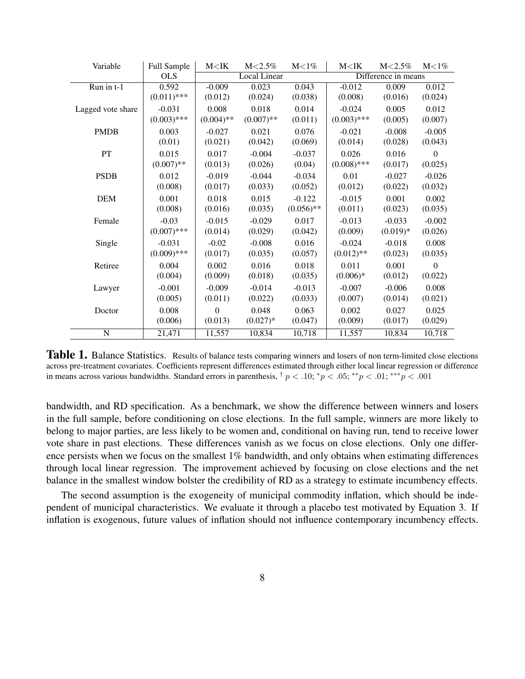<span id="page-7-0"></span>

| Variable                       | Full Sample   | M < I K             | $M < 2.5\%$  | $M<1\%$      | M < I K             | $M < 2.5\%$ | $M<1\%$  |
|--------------------------------|---------------|---------------------|--------------|--------------|---------------------|-------------|----------|
|                                | <b>OLS</b>    | <b>Local Linear</b> |              |              | Difference in means |             |          |
| $\overline{\text{Run in }t-1}$ | 0.592         | $-0.009$            | 0.023        | 0.043        | $-0.012$            | 0.009       | 0.012    |
|                                | $(0.011)$ *** | (0.012)             | (0.024)      | (0.038)      | (0.008)             | (0.016)     | (0.024)  |
| Lagged vote share              | $-0.031$      | 0.008               | 0.018        | 0.014        | $-0.024$            | 0.005       | 0.012    |
|                                | $(0.003)$ *** | $(0.004)$ **        | $(0.007)$ ** | (0.011)      | $(0.003)$ ***       | (0.005)     | (0.007)  |
| <b>PMDB</b>                    | 0.003         | $-0.027$            | 0.021        | 0.076        | $-0.021$            | $-0.008$    | $-0.005$ |
|                                | (0.01)        | (0.021)             | (0.042)      | (0.069)      | (0.014)             | (0.028)     | (0.043)  |
| PT                             | 0.015         | 0.017               | $-0.004$     | $-0.037$     | 0.026               | 0.016       | $\Omega$ |
|                                | $(0.007)$ **  | (0.013)             | (0.026)      | (0.04)       | $(0.008)$ ***       | (0.017)     | (0.025)  |
| <b>PSDB</b>                    | 0.012         | $-0.019$            | $-0.044$     | $-0.034$     | 0.01                | $-0.027$    | $-0.026$ |
|                                | (0.008)       | (0.017)             | (0.033)      | (0.052)      | (0.012)             | (0.022)     | (0.032)  |
| <b>DEM</b>                     | 0.001         | 0.018               | 0.015        | $-0.122$     | $-0.015$            | 0.001       | 0.002    |
|                                | (0.008)       | (0.016)             | (0.035)      | $(0.056)$ ** | (0.011)             | (0.023)     | (0.035)  |
| Female                         | $-0.03$       | $-0.015$            | $-0.029$     | 0.017        | $-0.013$            | $-0.033$    | $-0.002$ |
|                                | $(0.007)$ *** | (0.014)             | (0.029)      | (0.042)      | (0.009)             | $(0.019)*$  | (0.026)  |
| Single                         | $-0.031$      | $-0.02$             | $-0.008$     | 0.016        | $-0.024$            | $-0.018$    | 0.008    |
|                                | $(0.009)$ *** | (0.017)             | (0.035)      | (0.057)      | $(0.012)$ **        | (0.023)     | (0.035)  |
| Retiree                        | 0.004         | 0.002               | 0.016        | 0.018        | 0.011               | 0.001       | $\Omega$ |
|                                | (0.004)       | (0.009)             | (0.018)      | (0.035)      | $(0.006)*$          | (0.012)     | (0.022)  |
| Lawyer                         | $-0.001$      | $-0.009$            | $-0.014$     | $-0.013$     | $-0.007$            | $-0.006$    | 0.008    |
|                                | (0.005)       | (0.011)             | (0.022)      | (0.033)      | (0.007)             | (0.014)     | (0.021)  |
| Doctor                         | 0.008         | 0                   | 0.048        | 0.063        | 0.002               | 0.027       | 0.025    |
|                                | (0.006)       | (0.013)             | $(0.027)*$   | (0.047)      | (0.009)             | (0.017)     | (0.029)  |
| $\mathbf N$                    | 21,471        | 11,557              | 10,834       | 10,718       | 11,557              | 10,834      | 10,718   |

**Table 1.** Balance Statistics. Results of balance tests comparing winners and losers of non term-limited close elections across pre-treatment covariates. Coefficients represent differences estimated through either local linear regression or difference in means across various bandwidths. Standard errors in parenthesis,  $\frac{1}{7} p < 0.10$ ;  $\frac{k}{p} < 0.01$ ;  $\frac{k}{p} < 0.01$ ;  $\frac{k}{p} < 0.01$ 

bandwidth, and RD specification. As a benchmark, we show the difference between winners and losers in the full sample, before conditioning on close elections. In the full sample, winners are more likely to belong to major parties, are less likely to be women and, conditional on having run, tend to receive lower vote share in past elections. These differences vanish as we focus on close elections. Only one difference persists when we focus on the smallest 1% bandwidth, and only obtains when estimating differences through local linear regression. The improvement achieved by focusing on close elections and the net balance in the smallest window bolster the credibility of RD as a strategy to estimate incumbency effects.

The second assumption is the exogeneity of municipal commodity inflation, which should be independent of municipal characteristics. We evaluate it through a placebo test motivated by Equation 3. If inflation is exogenous, future values of inflation should not influence contemporary incumbency effects.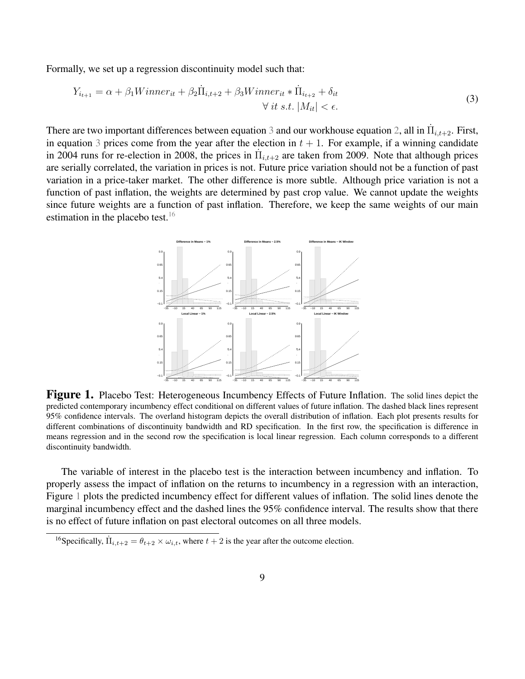Formally, we set up a regression discontinuity model such that:

$$
Y_{i_{t+1}} = \alpha + \beta_1 \text{Winner}_{it} + \beta_2 \dot{\Pi}_{i,t+2} + \beta_3 \text{Winner}_{it} * \dot{\Pi}_{i_{t+2}} + \delta_{it}
$$
  

$$
\forall \text{it s.t. } |M_{it}| < \epsilon.
$$
 (3)

There are two important differences between equation [3](#page-8-0) and our workhouse equation [2,](#page-6-2) all in  $\dot{\Pi}_{i,t+2}$ . First, in equation [3](#page-8-0) prices come from the year after the election in  $t + 1$ . For example, if a winning candidate in 2004 runs for re-election in 2008, the prices in  $\Pi_{i,t+2}$  are taken from 2009. Note that although prices are serially correlated, the variation in prices is not. Future price variation should not be a function of past variation in a price-taker market. The other difference is more subtle. Although price variation is not a function of past inflation, the weights are determined by past crop value. We cannot update the weights since future weights are a function of past inflation. Therefore, we keep the same weights of our main estimation in the placebo test.<sup>[16](#page-8-1)</sup>

<span id="page-8-2"></span><span id="page-8-0"></span>

Figure 1. Placebo Test: Heterogeneous Incumbency Effects of Future Inflation. The solid lines depict the predicted contemporary incumbency effect conditional on different values of future inflation. The dashed black lines represent 95% confidence intervals. The overland histogram depicts the overall distribution of inflation. Each plot presents results for different combinations of discontinuity bandwidth and RD specification. In the first row, the specification is difference in means regression and in the second row the specification is local linear regression. Each column corresponds to a different discontinuity bandwidth.

The variable of interest in the placebo test is the interaction between incumbency and inflation. To properly assess the impact of inflation on the returns to incumbency in a regression with an interaction, Figure [1](#page-8-2) plots the predicted incumbency effect for different values of inflation. The solid lines denote the marginal incumbency effect and the dashed lines the 95% confidence interval. The results show that there is no effect of future inflation on past electoral outcomes on all three models.

<span id="page-8-1"></span><sup>&</sup>lt;sup>16</sup>Specifically,  $\dot{\Pi}_{i,t+2} = \theta_{t+2} \times \omega_{i,t}$ , where  $t+2$  is the year after the outcome election.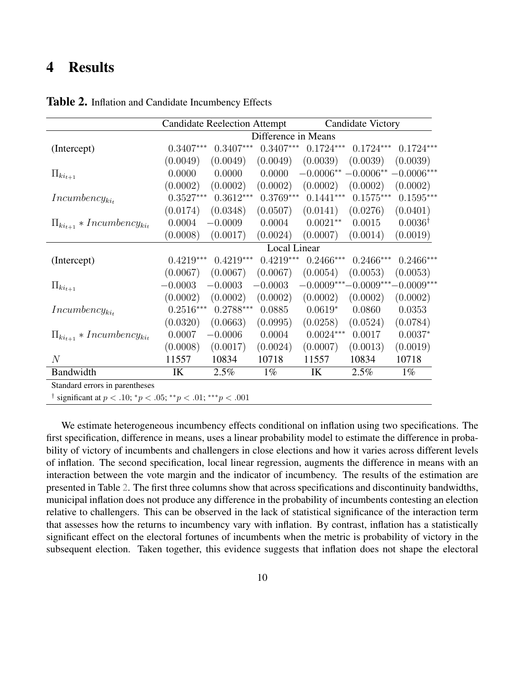## 4 Results

|                                                                                         | <b>Candidate Reelection Attempt</b> |             |             | Candidate Victory     |             |                                  |  |
|-----------------------------------------------------------------------------------------|-------------------------------------|-------------|-------------|-----------------------|-------------|----------------------------------|--|
|                                                                                         | Difference in Means                 |             |             |                       |             |                                  |  |
| (Intercept)                                                                             | $0.3407***$                         | $0.3407***$ | $0.3407***$ | $0.1724***$           | $0.1724***$ | $0.1724***$                      |  |
|                                                                                         | (0.0049)                            | (0.0049)    | (0.0049)    | (0.0039)              | (0.0039)    | (0.0039)                         |  |
| $\Pi_{ki_{t+1}}$                                                                        | 0.0000                              | 0.0000      | 0.0000      | $-0.0006** -0.0006**$ |             | $-0.0006***$                     |  |
|                                                                                         | (0.0002)                            | (0.0002)    | (0.0002)    | (0.0002)              | (0.0002)    | (0.0002)                         |  |
| $In cumbency_{ki_t}$                                                                    | $0.3527***$                         | $0.3612***$ | $0.3769***$ | $0.1441***$           | $0.1575***$ | $0.1595***$                      |  |
|                                                                                         | (0.0174)                            | (0.0348)    | (0.0507)    | (0.0141)              | (0.0276)    | (0.0401)                         |  |
| $\Pi_{ki_{t+1}} * Incumbency_{ki_t}$                                                    | 0.0004                              | $-0.0009$   | 0.0004      | $0.0021**$            | 0.0015      | $0.0036^{\dagger}$               |  |
|                                                                                         | (0.0008)                            | (0.0017)    | (0.0024)    | (0.0007)              | (0.0014)    | (0.0019)                         |  |
|                                                                                         | <b>Local Linear</b>                 |             |             |                       |             |                                  |  |
| (Intercept)                                                                             | $0.4219***$                         | $0.4219***$ | $0.4219***$ | $0.2466***$           | $0.2466***$ | $0.2466***$                      |  |
|                                                                                         | (0.0067)                            | (0.0067)    | (0.0067)    | (0.0054)              | (0.0053)    | (0.0053)                         |  |
| $\Pi_{ki_{t+1}}$                                                                        | $-0.0003$                           | $-0.0003$   | $-0.0003$   |                       |             | $-0.0009***-0.0009***-0.0009***$ |  |
|                                                                                         | (0.0002)                            | (0.0002)    | (0.0002)    | (0.0002)              | (0.0002)    | (0.0002)                         |  |
| $In cumbency_{ki_t}$                                                                    | $0.2516^{\ast\ast\ast}$             | $0.2788***$ | 0.0885      | $0.0619*$             | 0.0860      | 0.0353                           |  |
|                                                                                         | (0.0320)                            | (0.0663)    | (0.0995)    | (0.0258)              | (0.0524)    | (0.0784)                         |  |
| $\Pi_{ki_{t+1}} * Incumbency_{ki_t}$                                                    | 0.0007                              | $-0.0006$   | 0.0004      | $0.0024***$           | 0.0017      | $0.0037*$                        |  |
|                                                                                         | (0.0008)                            | (0.0017)    | (0.0024)    | (0.0007)              | (0.0013)    | (0.0019)                         |  |
| $\mathcal N$                                                                            | 11557                               | 10834       | 10718       | 11557                 | 10834       | 10718                            |  |
| Bandwidth                                                                               | IK                                  | 2.5%        | $1\%$       | IK                    | 2.5%        | $1\%$                            |  |
| Standard errors in parentheses                                                          |                                     |             |             |                       |             |                                  |  |
| <sup>†</sup> significant at $p < .10$ ; $^*p < .05$ ; $^{**}p < .01$ ; $^{***}p < .001$ |                                     |             |             |                       |             |                                  |  |

<span id="page-9-0"></span>Table 2. Inflation and Candidate Incumbency Effects

We estimate heterogeneous incumbency effects conditional on inflation using two specifications. The first specification, difference in means, uses a linear probability model to estimate the difference in probability of victory of incumbents and challengers in close elections and how it varies across different levels of inflation. The second specification, local linear regression, augments the difference in means with an interaction between the vote margin and the indicator of incumbency. The results of the estimation are presented in Table [2.](#page-9-0) The first three columns show that across specifications and discontinuity bandwidths, municipal inflation does not produce any difference in the probability of incumbents contesting an election relative to challengers. This can be observed in the lack of statistical significance of the interaction term that assesses how the returns to incumbency vary with inflation. By contrast, inflation has a statistically significant effect on the electoral fortunes of incumbents when the metric is probability of victory in the subsequent election. Taken together, this evidence suggests that inflation does not shape the electoral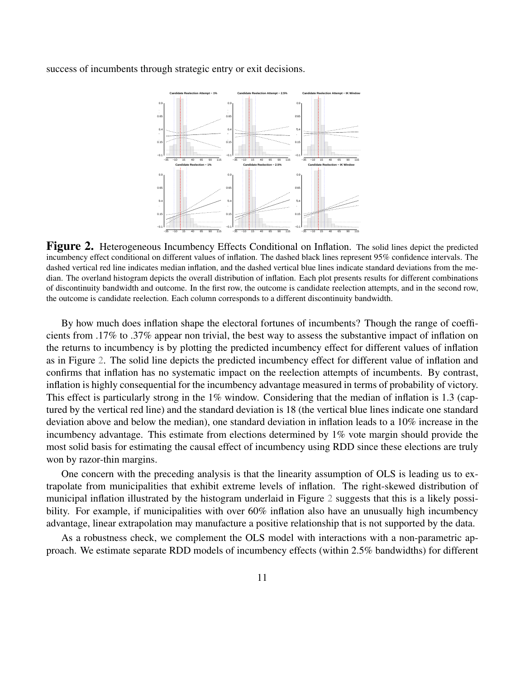<span id="page-10-0"></span>success of incumbents through strategic entry or exit decisions.



Figure 2. Heterogeneous Incumbency Effects Conditional on Inflation. The solid lines depict the predicted incumbency effect conditional on different values of inflation. The dashed black lines represent 95% confidence intervals. The dashed vertical red line indicates median inflation, and the dashed vertical blue lines indicate standard deviations from the median. The overland histogram depicts the overall distribution of inflation. Each plot presents results for different combinations of discontinuity bandwidth and outcome. In the first row, the outcome is candidate reelection attempts, and in the second row, the outcome is candidate reelection. Each column corresponds to a different discontinuity bandwidth.

By how much does inflation shape the electoral fortunes of incumbents? Though the range of coefficients from .17% to .37% appear non trivial, the best way to assess the substantive impact of inflation on the returns to incumbency is by plotting the predicted incumbency effect for different values of inflation as in Figure [2.](#page-10-0) The solid line depicts the predicted incumbency effect for different value of inflation and confirms that inflation has no systematic impact on the reelection attempts of incumbents. By contrast, inflation is highly consequential for the incumbency advantage measured in terms of probability of victory. This effect is particularly strong in the 1% window. Considering that the median of inflation is 1.3 (captured by the vertical red line) and the standard deviation is 18 (the vertical blue lines indicate one standard deviation above and below the median), one standard deviation in inflation leads to a 10% increase in the incumbency advantage. This estimate from elections determined by 1% vote margin should provide the most solid basis for estimating the causal effect of incumbency using RDD since these elections are truly won by razor-thin margins.

One concern with the preceding analysis is that the linearity assumption of OLS is leading us to extrapolate from municipalities that exhibit extreme levels of inflation. The right-skewed distribution of municipal inflation illustrated by the histogram underlaid in Figure [2](#page-10-0) suggests that this is a likely possibility. For example, if municipalities with over 60% inflation also have an unusually high incumbency advantage, linear extrapolation may manufacture a positive relationship that is not supported by the data.

As a robustness check, we complement the OLS model with interactions with a non-parametric approach. We estimate separate RDD models of incumbency effects (within 2.5% bandwidths) for different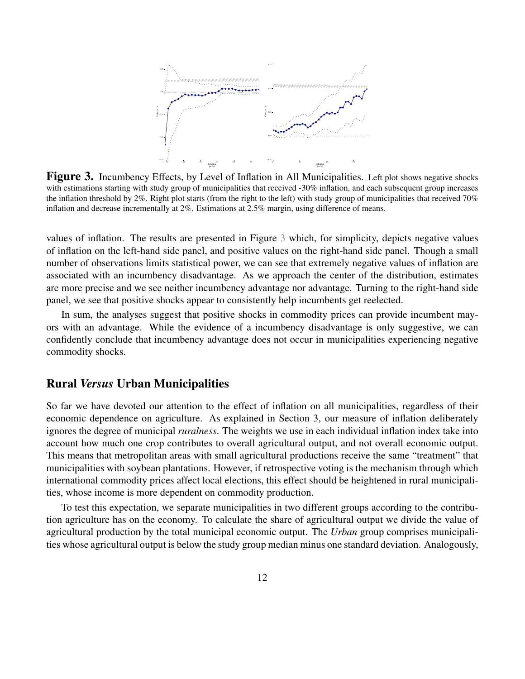<span id="page-11-0"></span>

Figure 3. Incumbency Effects, by Level of Inflation in All Municipalities. Left plot shows negative shocks with estimations starting with study group of municipalities that received -30% inflation, and each subsequent group increases the inflation threshold by 2%. Right plot starts (from the right to the left) with study group of municipalities that received 70% inflation and decrease incrementally at 2%. Estimations at 2.5% margin, using difference of means.

values of inflation. The results are presented in Figure [3](#page-11-0) which, for simplicity, depicts negative values of inflation on the left-hand side panel, and positive values on the right-hand side panel. Though a small number of observations limits statistical power, we can see that extremely negative values of inflation are associated with an incumbency disadvantage. As we approach the center of the distribution, estimates are more precise and we see neither incumbency advantage nor advantage. Turning to the right-hand side panel, we see that positive shocks appear to consistently help incumbents get reelected.

In sum, the analyses suggest that positive shocks in commodity prices can provide incumbent mayors with an advantage. While the evidence of a incumbency disadvantage is only suggestive, we can confidently conclude that incumbency advantage does not occur in municipalities experiencing negative commodity shocks.

#### Rural *Versus* Urban Municipalities

So far we have devoted our attention to the effect of inflation on all municipalities, regardless of their economic dependence on agriculture. As explained in Section 3, our measure of inflation deliberately ignores the degree of municipal *ruralness*. The weights we use in each individual inflation index take into account how much one crop contributes to overall agricultural output, and not overall economic output. This means that metropolitan areas with small agricultural productions receive the same "treatment" that municipalities with soybean plantations. However, if retrospective voting is the mechanism through which international commodity prices affect local elections, this effect should be heightened in rural municipalities, whose income is more dependent on commodity production.

To test this expectation, we separate municipalities in two different groups according to the contribution agriculture has on the economy. To calculate the share of agricultural output we divide the value of agricultural production by the total municipal economic output. The *Urban* group comprises municipalities whose agricultural output is below the study group median minus one standard deviation. Analogously,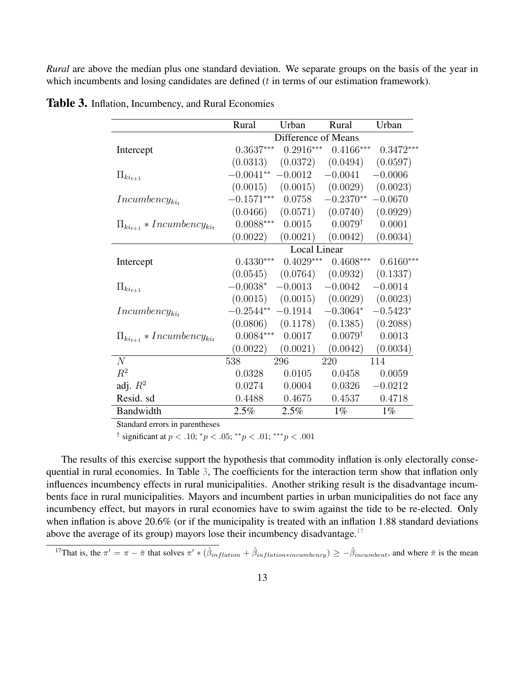*Rural* are above the median plus one standard deviation. We separate groups on the basis of the year in which incumbents and losing candidates are defined  $(t$  in terms of our estimation framework).

|                                      | Rural               | Urban       | Rural                            | Urban       |
|--------------------------------------|---------------------|-------------|----------------------------------|-------------|
|                                      | Difference of Means |             |                                  |             |
| Intercept                            | $0.3637***$         | $0.2916***$ | $0.4166***$                      | $0.3472***$ |
|                                      | (0.0313)            | (0.0372)    | (0.0494)                         | (0.0597)    |
| $\Pi_{ki_{t+1}}$                     | $-0.0041**$         | $-0.0012$   | $-0.0041$                        | $-0.0006$   |
|                                      |                     |             | $(0.0015)$ $(0.0015)$ $(0.0029)$ | (0.0023)    |
| $In cumbency_{ki_t}$                 | $-0.1571***$        | 0.0758      | $-0.2370**$                      | $-0.0670$   |
|                                      | (0.0466)            |             | $(0.0571)$ $(0.0740)$            | (0.0929)    |
| $\Pi_{ki_{t+1}} * Incumbency_{ki_t}$ | $0.0088***$         | 0.0015      | $0.0079^{\dagger}$               | 0.0001      |
|                                      | (0.0022)            | (0.0021)    | (0.0042)                         | (0.0034)    |
|                                      | Local Linear        |             |                                  |             |
| Intercept                            | $0.4330***$         | $0.4029***$ | $0.4608***$                      | $0.6160***$ |
|                                      | (0.0545)            | (0.0764)    | (0.0932)                         | (0.1337)    |
| $\Pi_{ki_{t+1}}$                     | $-0.0038*$          | $-0.0013$   | $-0.0042$                        | $-0.0014$   |
|                                      | (0.0015)            |             | $(0.0015)$ $(0.0029)$            | (0.0023)    |
| $In cumbency_{ki_t}$                 | $-0.2544**$         | $-0.1914$   | $-0.3064*$                       | $-0.5423*$  |
|                                      | (0.0806)            | (0.1178)    | (0.1385)                         | (0.2088)    |
| $\Pi_{ki_{t+1}} * Incumbency_{ki_t}$ | $0.0084***$         | 0.0017      | $0.0079^{\dagger}$               | 0.0013      |
|                                      | (0.0022)            | (0.0021)    | (0.0042)                         | (0.0034)    |
| N                                    | 538                 | 296         | 220                              | 114         |
| $R^2$                                | 0.0328              | 0.0105      | 0.0458                           | 0.0059      |
| adj. $R^2$                           | 0.0274              | 0.0004      | 0.0326                           | $-0.0212$   |
| Resid. sd                            | 0.4488              | 0.4675      | 0.4537                           | 0.4718      |
| Bandwidth                            | 2.5%                | 2.5%        | $1\%$                            | $1\%$       |

<span id="page-12-0"></span>**Table 3.** Inflation, Incumbency, and Rural Economies

Standard errors in parentheses

<sup>†</sup> significant at  $p < .10$ ;  $^*p < .05$ ;  $^{**}p < .01$ ;  $^{***}p < .001$ 

The results of this exercise support the hypothesis that commodity inflation is only electorally consequential in rural economies. In Table [3,](#page-12-0) The coefficients for the interaction term show that inflation only influences incumbency effects in rural municipalities. Another striking result is the disadvantage incumbents face in rural municipalities. Mayors and incumbent parties in urban municipalities do not face any incumbency effect, but mayors in rural economies have to swim against the tide to be re-elected. Only when inflation is above 20.6% (or if the municipality is treated with an inflation 1.88 standard deviations above the average of its group) mayors lose their incumbency disadvantage.<sup>[17](#page-12-1)</sup>

<span id="page-12-1"></span><sup>17</sup>That is, the  $\pi' = \pi - \bar{\pi}$  that solves  $\pi' * (\hat{\beta}_{inflation} + \hat{\beta}_{inflation * incumbency}) \ge -\hat{\beta}_{incumbent}$ , and where  $\bar{\pi}$  is the mean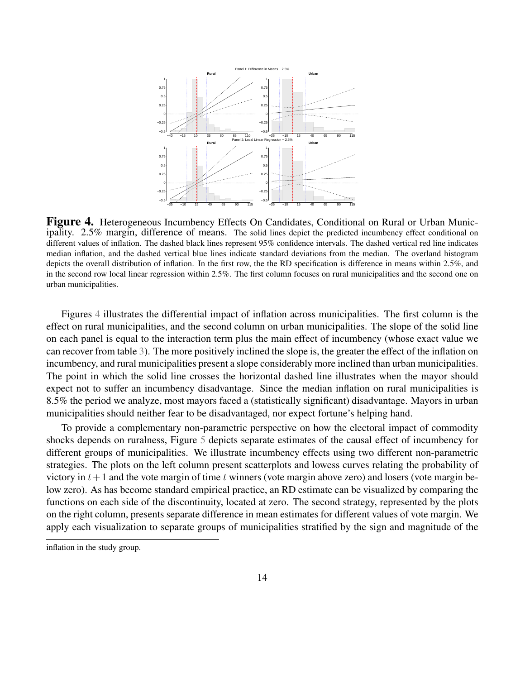<span id="page-13-0"></span>

Figure 4. Heterogeneous Incumbency Effects On Candidates, Conditional on Rural or Urban Municipality. 2.5% margin, difference of means. The solid lines depict the predicted incumbency effect conditional on different values of inflation. The dashed black lines represent 95% confidence intervals. The dashed vertical red line indicates median inflation, and the dashed vertical blue lines indicate standard deviations from the median. The overland histogram depicts the overall distribution of inflation. In the first row, the the RD specification is difference in means within 2.5%, and in the second row local linear regression within 2.5%. The first column focuses on rural municipalities and the second one on urban municipalities.

Figures [4](#page-13-0) illustrates the differential impact of inflation across municipalities. The first column is the effect on rural municipalities, and the second column on urban municipalities. The slope of the solid line on each panel is equal to the interaction term plus the main effect of incumbency (whose exact value we can recover from table [3\)](#page-12-0). The more positively inclined the slope is, the greater the effect of the inflation on incumbency, and rural municipalities present a slope considerably more inclined than urban municipalities. The point in which the solid line crosses the horizontal dashed line illustrates when the mayor should expect not to suffer an incumbency disadvantage. Since the median inflation on rural municipalities is 8.5% the period we analyze, most mayors faced a (statistically significant) disadvantage. Mayors in urban municipalities should neither fear to be disadvantaged, nor expect fortune's helping hand.

To provide a complementary non-parametric perspective on how the electoral impact of commodity shocks depends on ruralness, Figure [5](#page-14-0) depicts separate estimates of the causal effect of incumbency for different groups of municipalities. We illustrate incumbency effects using two different non-parametric strategies. The plots on the left column present scatterplots and lowess curves relating the probability of victory in  $t+1$  and the vote margin of time t winners (vote margin above zero) and losers (vote margin below zero). As has become standard empirical practice, an RD estimate can be visualized by comparing the functions on each side of the discontinuity, located at zero. The second strategy, represented by the plots on the right column, presents separate difference in mean estimates for different values of vote margin. We apply each visualization to separate groups of municipalities stratified by the sign and magnitude of the

inflation in the study group.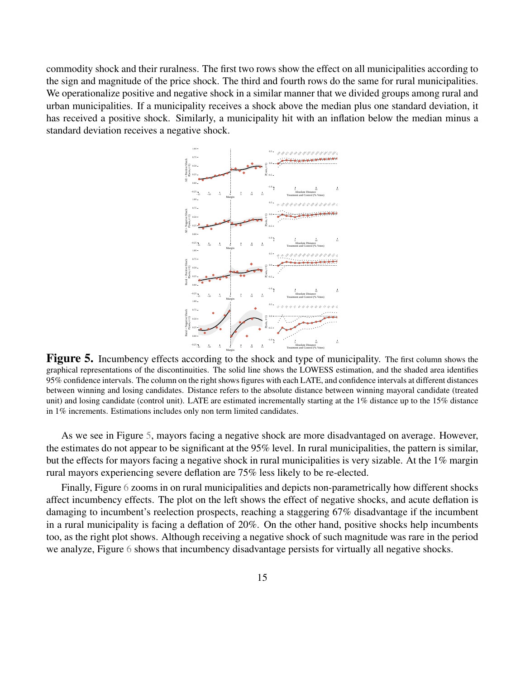<span id="page-14-0"></span>commodity shock and their ruralness. The first two rows show the effect on all municipalities according to the sign and magnitude of the price shock. The third and fourth rows do the same for rural municipalities. We operationalize positive and negative shock in a similar manner that we divided groups among rural and urban municipalities. If a municipality receives a shock above the median plus one standard deviation, it has received a positive shock. Similarly, a municipality hit with an inflation below the median minus a standard deviation receives a negative shock.



Figure 5. Incumbency effects according to the shock and type of municipality. The first column shows the graphical representations of the discontinuities. The solid line shows the LOWESS estimation, and the shaded area identifies 95% confidence intervals. The column on the right shows figures with each LATE, and confidence intervals at different distances between winning and losing candidates. Distance refers to the absolute distance between winning mayoral candidate (treated unit) and losing candidate (control unit). LATE are estimated incrementally starting at the 1% distance up to the 15% distance in 1% increments. Estimations includes only non term limited candidates.

As we see in Figure [5,](#page-14-0) mayors facing a negative shock are more disadvantaged on average. However, the estimates do not appear to be significant at the 95% level. In rural municipalities, the pattern is similar, but the effects for mayors facing a negative shock in rural municipalities is very sizable. At the 1% margin rural mayors experiencing severe deflation are 75% less likely to be re-elected.

Finally, Figure [6](#page-15-0) zooms in on rural municipalities and depicts non-parametrically how different shocks affect incumbency effects. The plot on the left shows the effect of negative shocks, and acute deflation is damaging to incumbent's reelection prospects, reaching a staggering 67% disadvantage if the incumbent in a rural municipality is facing a deflation of 20%. On the other hand, positive shocks help incumbents too, as the right plot shows. Although receiving a negative shock of such magnitude was rare in the period we analyze, Figure [6](#page-15-0) shows that incumbency disadvantage persists for virtually all negative shocks.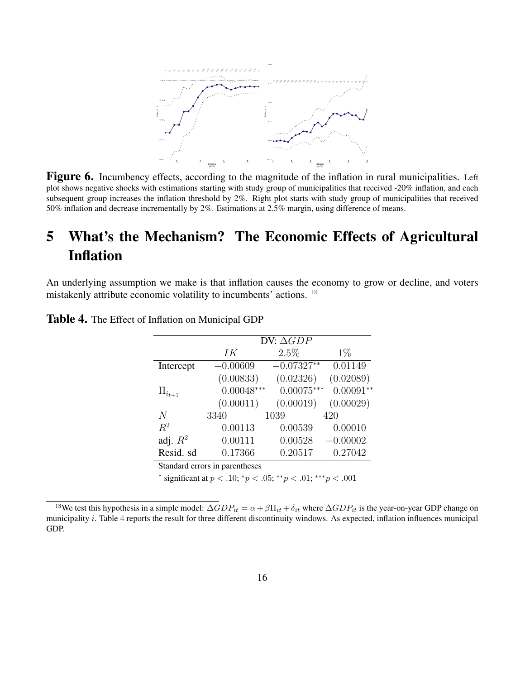<span id="page-15-0"></span>

Figure 6. Incumbency effects, according to the magnitude of the inflation in rural municipalities. Left plot shows negative shocks with estimations starting with study group of municipalities that received -20% inflation, and each subsequent group increases the inflation threshold by 2%. Right plot starts with study group of municipalities that received 50% inflation and decrease incrementally by 2%. Estimations at 2.5% margin, using difference of means.

# 5 What's the Mechanism? The Economic Effects of Agricultural Inflation

An underlying assumption we make is that inflation causes the economy to grow or decline, and voters mistakenly attribute economic volatility to incumbents' actions. [18](#page-15-1)

|                 | DV: $\Delta GDP$ |              |             |  |  |
|-----------------|------------------|--------------|-------------|--|--|
|                 | IК               | 2.5%         | $1\%$       |  |  |
| Intercept       | $-0.00609$       | $-0.07327**$ | 0.01149     |  |  |
|                 | (0.00833)        | (0.02326)    | (0.02089)   |  |  |
| $\Pi_{i_{t+1}}$ | $0.00048***$     | $0.00075***$ | $0.00091**$ |  |  |
|                 | (0.00011)        | (0.00019)    | (0.00029)   |  |  |
| N               | 3340             | 1039         | 420         |  |  |
| $R^2$           | 0.00113          | 0.00539      | 0.00010     |  |  |
| adj. $R^2$      | 0.00111          | 0.00528      | $-0.00002$  |  |  |
| Resid. sd       | 0.17366          | 0.20517      | 0.27042     |  |  |
|                 |                  |              |             |  |  |

<span id="page-15-2"></span>Table 4. The Effect of Inflation on Municipal GDP

Standard errors in parentheses

<sup>†</sup> significant at  $p < .10$ ;  $^*p < .05$ ;  $^{**}p < .01$ ;  $^{***}p < .001$ 

<span id="page-15-1"></span><sup>&</sup>lt;sup>18</sup>We test this hypothesis in a simple model:  $\Delta GDP_{it} = \alpha + \beta \Pi_{it} + \delta_{it}$  where  $\Delta GDP_{it}$  is the year-on-year GDP change on municipality i. Table [4](#page-15-2) reports the result for three different discontinuity windows. As expected, inflation influences municipal GDP.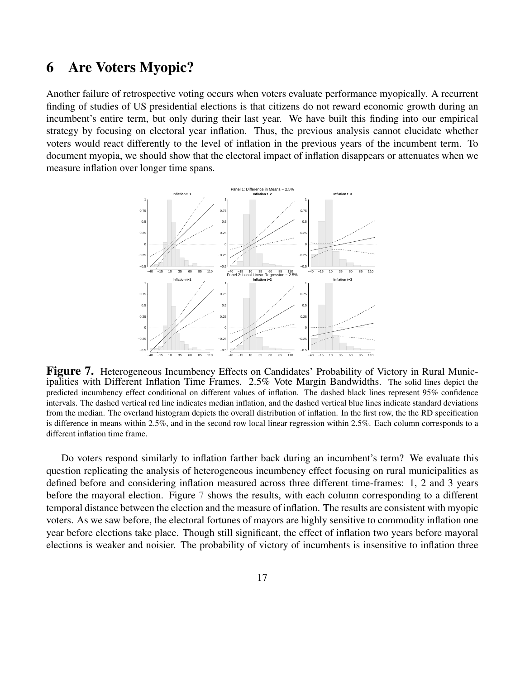### 6 Are Voters Myopic?

Another failure of retrospective voting occurs when voters evaluate performance myopically. A recurrent finding of studies of US presidential elections is that citizens do not reward economic growth during an incumbent's entire term, but only during their last year. We have built this finding into our empirical strategy by focusing on electoral year inflation. Thus, the previous analysis cannot elucidate whether voters would react differently to the level of inflation in the previous years of the incumbent term. To document myopia, we should show that the electoral impact of inflation disappears or attenuates when we measure inflation over longer time spans.

<span id="page-16-0"></span>

Figure 7. Heterogeneous Incumbency Effects on Candidates' Probability of Victory in Rural Municipalities with Different Inflation Time Frames. 2.5% Vote Margin Bandwidths. The solid lines depict the predicted incumbency effect conditional on different values of inflation. The dashed black lines represent 95% confidence intervals. The dashed vertical red line indicates median inflation, and the dashed vertical blue lines indicate standard deviations from the median. The overland histogram depicts the overall distribution of inflation. In the first row, the the RD specification is difference in means within 2.5%, and in the second row local linear regression within 2.5%. Each column corresponds to a different inflation time frame.

Do voters respond similarly to inflation farther back during an incumbent's term? We evaluate this question replicating the analysis of heterogeneous incumbency effect focusing on rural municipalities as defined before and considering inflation measured across three different time-frames: 1, 2 and 3 years before the mayoral election. Figure [7](#page-16-0) shows the results, with each column corresponding to a different temporal distance between the election and the measure of inflation. The results are consistent with myopic voters. As we saw before, the electoral fortunes of mayors are highly sensitive to commodity inflation one year before elections take place. Though still significant, the effect of inflation two years before mayoral elections is weaker and noisier. The probability of victory of incumbents is insensitive to inflation three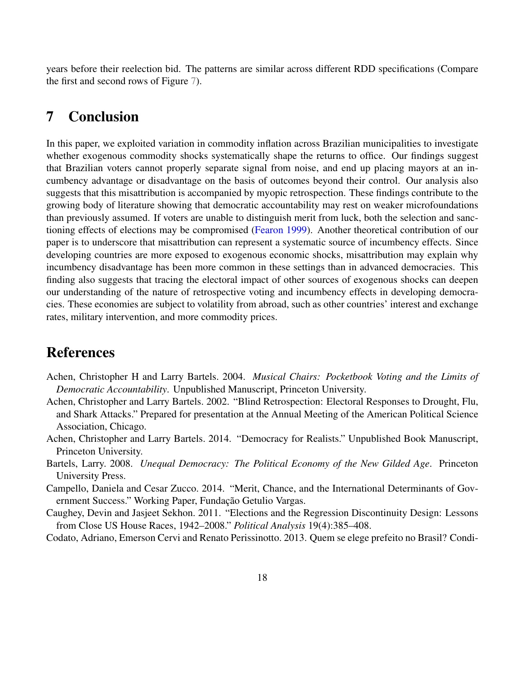years before their reelection bid. The patterns are similar across different RDD specifications (Compare the first and second rows of Figure [7\)](#page-16-0).

## 7 Conclusion

In this paper, we exploited variation in commodity inflation across Brazilian municipalities to investigate whether exogenous commodity shocks systematically shape the returns to office. Our findings suggest that Brazilian voters cannot properly separate signal from noise, and end up placing mayors at an incumbency advantage or disadvantage on the basis of outcomes beyond their control. Our analysis also suggests that this misattribution is accompanied by myopic retrospection. These findings contribute to the growing body of literature showing that democratic accountability may rest on weaker microfoundations than previously assumed. If voters are unable to distinguish merit from luck, both the selection and sanctioning effects of elections may be compromised [\(Fearon](#page-18-17) [1999\)](#page-18-17). Another theoretical contribution of our paper is to underscore that misattribution can represent a systematic source of incumbency effects. Since developing countries are more exposed to exogenous economic shocks, misattribution may explain why incumbency disadvantage has been more common in these settings than in advanced democracies. This finding also suggests that tracing the electoral impact of other sources of exogenous shocks can deepen our understanding of the nature of retrospective voting and incumbency effects in developing democracies. These economies are subject to volatility from abroad, such as other countries' interest and exchange rates, military intervention, and more commodity prices.

## References

- <span id="page-17-3"></span>Achen, Christopher H and Larry Bartels. 2004. *Musical Chairs: Pocketbook Voting and the Limits of Democratic Accountability*. Unpublished Manuscript, Princeton University.
- <span id="page-17-2"></span>Achen, Christopher and Larry Bartels. 2002. "Blind Retrospection: Electoral Responses to Drought, Flu, and Shark Attacks." Prepared for presentation at the Annual Meeting of the American Political Science Association, Chicago.
- <span id="page-17-0"></span>Achen, Christopher and Larry Bartels. 2014. "Democracy for Realists." Unpublished Book Manuscript, Princeton University.
- <span id="page-17-4"></span>Bartels, Larry. 2008. *Unequal Democracy: The Political Economy of the New Gilded Age*. Princeton University Press.
- <span id="page-17-1"></span>Campello, Daniela and Cesar Zucco. 2014. "Merit, Chance, and the International Determinants of Government Success." Working Paper, Fundação Getulio Vargas.
- <span id="page-17-6"></span>Caughey, Devin and Jasjeet Sekhon. 2011. "Elections and the Regression Discontinuity Design: Lessons from Close US House Races, 1942–2008." *Political Analysis* 19(4):385–408.
- <span id="page-17-5"></span>Codato, Adriano, Emerson Cervi and Renato Perissinotto. 2013. Quem se elege prefeito no Brasil? Condi-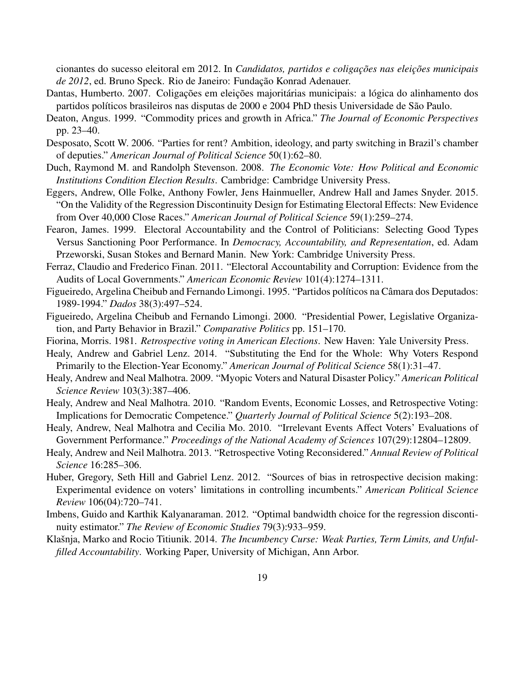cionantes do sucesso eleitoral em 2012. In *Candidatos, partidos e coligações nas eleições municipais de 2012*, ed. Bruno Speck. Rio de Janeiro: Fundação Konrad Adenauer.

- <span id="page-18-8"></span>Dantas, Humberto. 2007. Coligações em eleições majoritárias municipais: a lógica do alinhamento dos partidos políticos brasileiros nas disputas de 2000 e 2004 PhD thesis Universidade de São Paulo.
- <span id="page-18-14"></span>Deaton, Angus. 1999. "Commodity prices and growth in Africa." *The Journal of Economic Perspectives* pp. 23–40.
- <span id="page-18-11"></span>Desposato, Scott W. 2006. "Parties for rent? Ambition, ideology, and party switching in Brazil's chamber of deputies." *American Journal of Political Science* 50(1):62–80.
- <span id="page-18-1"></span>Duch, Raymond M. and Randolph Stevenson. 2008. *The Economic Vote: How Political and Economic Institutions Condition Election Results*. Cambridge: Cambridge University Press.
- <span id="page-18-16"></span>Eggers, Andrew, Olle Folke, Anthony Fowler, Jens Hainmueller, Andrew Hall and James Snyder. 2015. "On the Validity of the Regression Discontinuity Design for Estimating Electoral Effects: New Evidence from Over 40,000 Close Races." *American Journal of Political Science* 59(1):259–274.
- <span id="page-18-17"></span>Fearon, James. 1999. Electoral Accountability and the Control of Politicians: Selecting Good Types Versus Sanctioning Poor Performance. In *Democracy, Accountability, and Representation*, ed. Adam Przeworski, Susan Stokes and Bernard Manin. New York: Cambridge University Press.
- <span id="page-18-9"></span>Ferraz, Claudio and Frederico Finan. 2011. "Electoral Accountability and Corruption: Evidence from the Audits of Local Governments." *American Economic Review* 101(4):1274–1311.
- <span id="page-18-12"></span>Figueiredo, Argelina Cheibub and Fernando Limongi. 1995. "Partidos políticos na Câmara dos Deputados: 1989-1994." *Dados* 38(3):497–524.
- <span id="page-18-13"></span>Figueiredo, Argelina Cheibub and Fernando Limongi. 2000. "Presidential Power, Legislative Organization, and Party Behavior in Brazil." *Comparative Politics* pp. 151–170.
- <span id="page-18-0"></span>Fiorina, Morris. 1981. *Retrospective voting in American Elections*. New Haven: Yale University Press.
- <span id="page-18-7"></span>Healy, Andrew and Gabriel Lenz. 2014. "Substituting the End for the Whole: Why Voters Respond Primarily to the Election-Year Economy." *American Journal of Political Science* 58(1):31–47.
- <span id="page-18-3"></span>Healy, Andrew and Neal Malhotra. 2009. "Myopic Voters and Natural Disaster Policy." *American Political Science Review* 103(3):387–406.
- <span id="page-18-5"></span>Healy, Andrew and Neal Malhotra. 2010. "Random Events, Economic Losses, and Retrospective Voting: Implications for Democratic Competence." *Quarterly Journal of Political Science* 5(2):193–208.
- <span id="page-18-4"></span>Healy, Andrew, Neal Malhotra and Cecilia Mo. 2010. "Irrelevant Events Affect Voters' Evaluations of Government Performance." *Proceedings of the National Academy of Sciences* 107(29):12804–12809.
- <span id="page-18-2"></span>Healy, Andrew and Neil Malhotra. 2013. "Retrospective Voting Reconsidered." *Annual Review of Political Science* 16:285–306.
- <span id="page-18-6"></span>Huber, Gregory, Seth Hill and Gabriel Lenz. 2012. "Sources of bias in retrospective decision making: Experimental evidence on voters' limitations in controlling incumbents." *American Political Science Review* 106(04):720–741.
- <span id="page-18-15"></span>Imbens, Guido and Karthik Kalyanaraman. 2012. "Optimal bandwidth choice for the regression discontinuity estimator." *The Review of Economic Studies* 79(3):933–959.
- <span id="page-18-10"></span>Klašnja, Marko and Rocio Titiunik. 2014. *The Incumbency Curse: Weak Parties, Term Limits, and Unfulfilled Accountability*. Working Paper, University of Michigan, Ann Arbor.